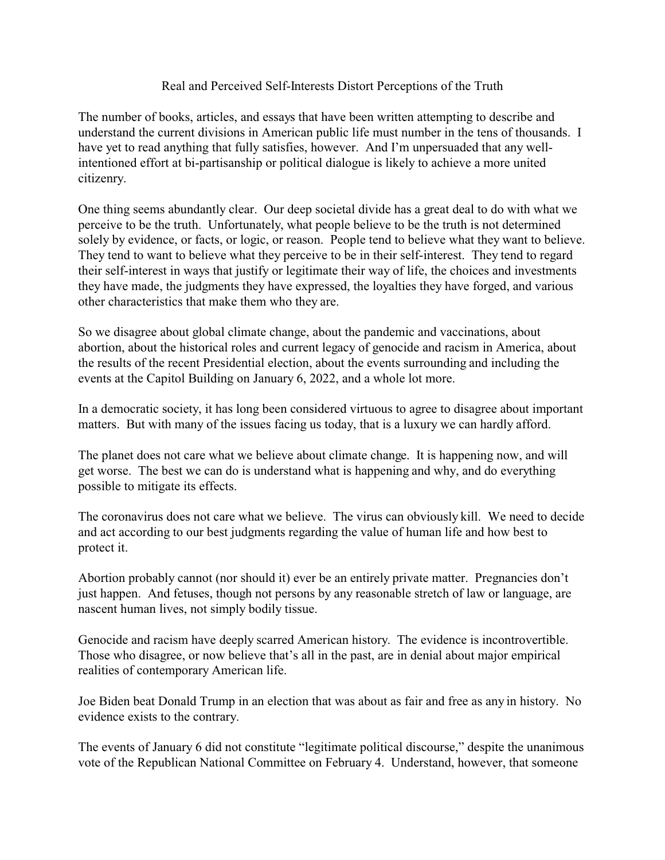## Real and Perceived Self-Interests Distort Perceptions of the Truth

The number of books, articles, and essays that have been written attempting to describe and understand the current divisions in American public life must number in the tens of thousands. I have yet to read anything that fully satisfies, however. And I'm unpersuaded that any wellintentioned effort at bi-partisanship or political dialogue is likely to achieve a more united citizenry.

One thing seems abundantly clear. Our deep societal divide has a great deal to do with what we perceive to be the truth. Unfortunately, what people believe to be the truth is not determined solely by evidence, or facts, or logic, or reason. People tend to believe what they want to believe. They tend to want to believe what they perceive to be in their self-interest. They tend to regard their self-interest in ways that justify or legitimate their way of life, the choices and investments they have made, the judgments they have expressed, the loyalties they have forged, and various other characteristics that make them who they are.

So we disagree about global climate change, about the pandemic and vaccinations, about abortion, about the historical roles and current legacy of genocide and racism in America, about the results of the recent Presidential election, about the events surrounding and including the events at the Capitol Building on January 6, 2022, and a whole lot more.

In a democratic society, it has long been considered virtuous to agree to disagree about important matters. But with many of the issues facing us today, that is a luxury we can hardly afford.

The planet does not care what we believe about climate change. It is happening now, and will get worse. The best we can do is understand what is happening and why, and do everything possible to mitigate its effects.

The coronavirus does not care what we believe. The virus can obviously kill. We need to decide and act according to our best judgments regarding the value of human life and how best to protect it.

Abortion probably cannot (nor should it) ever be an entirely private matter. Pregnancies don't just happen. And fetuses, though not persons by any reasonable stretch of law or language, are nascent human lives, not simply bodily tissue.

Genocide and racism have deeply scarred American history. The evidence is incontrovertible. Those who disagree, or now believe that's all in the past, are in denial about major empirical realities of contemporary American life.

Joe Biden beat Donald Trump in an election that was about as fair and free as any in history. No evidence exists to the contrary.

The events of January 6 did not constitute "legitimate political discourse," despite the unanimous vote of the Republican National Committee on February 4. Understand, however, that someone